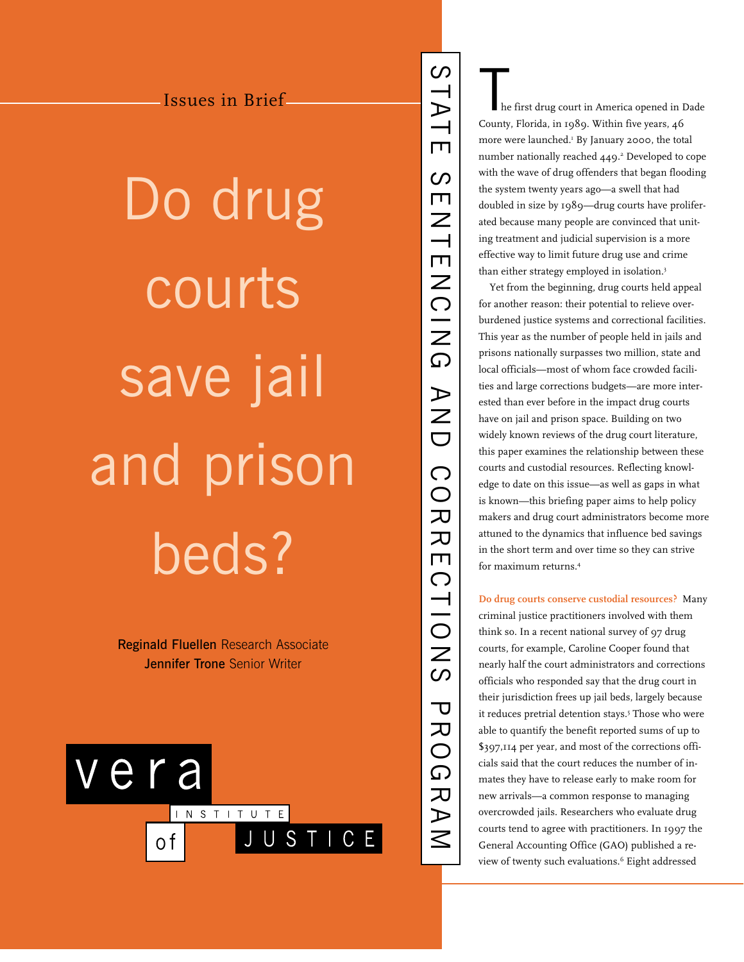Do drug courts save jail and prison beds?

> Reginald Fluellen Research Associate **Jennifer Trone Senior Writer**



The first drug court in America opened in Dade County, Florida, in 1989. Within five years, 46 more were launched.<sup>1</sup> By January 2000, the total number nationally reached 449.<sup>2</sup> Developed to cope with the wave of drug offenders that began flooding the system twenty years ago—a swell that had doubled in size by 1989—drug courts have proliferated because many people are convinced that uniting treatment and judicial supervision is a more effective way to limit future drug use and crime than either strategy employed in isolation.<sup>3</sup>

Yet from the beginning, drug courts held appeal for another reason: their potential to relieve overburdened justice systems and correctional facilities. This year as the number of people held in jails and prisons nationally surpasses two million, state and local officials—most of whom face crowded facilities and large corrections budgets—are more interested than ever before in the impact drug courts have on jail and prison space. Building on two widely known reviews of the drug court literature, this paper examines the relationship between these courts and custodial resources. Reflecting knowledge to date on this issue—as well as gaps in what is known—this briefing paper aims to help policy makers and drug court administrators become more attuned to the dynamics that influence bed savings in the short term and over time so they can strive for maximum returns.4

STATE SENTENCING AND CORRECTIONS PROGRAM

**RECTIONS** 

**PROGRAM** 

SUNITENCIAN POR

 $\infty$ 

STATE

**Do drug courts conserve custodial resources?** Many criminal justice practitioners involved with them think so. In a recent national survey of 97 drug courts, for example, Caroline Cooper found that nearly half the court administrators and corrections officials who responded say that the drug court in their jurisdiction frees up jail beds, largely because it reduces pretrial detention stays.<sup>5</sup> Those who were able to quantify the benefit reported sums of up to \$397,114 per year, and most of the corrections officials said that the court reduces the number of inmates they have to release early to make room for new arrivals—a common response to managing overcrowded jails. Researchers who evaluate drug courts tend to agree with practitioners. In 1997 the General Accounting Office (GAO) published a review of twenty such evaluations.<sup>6</sup> Eight addressed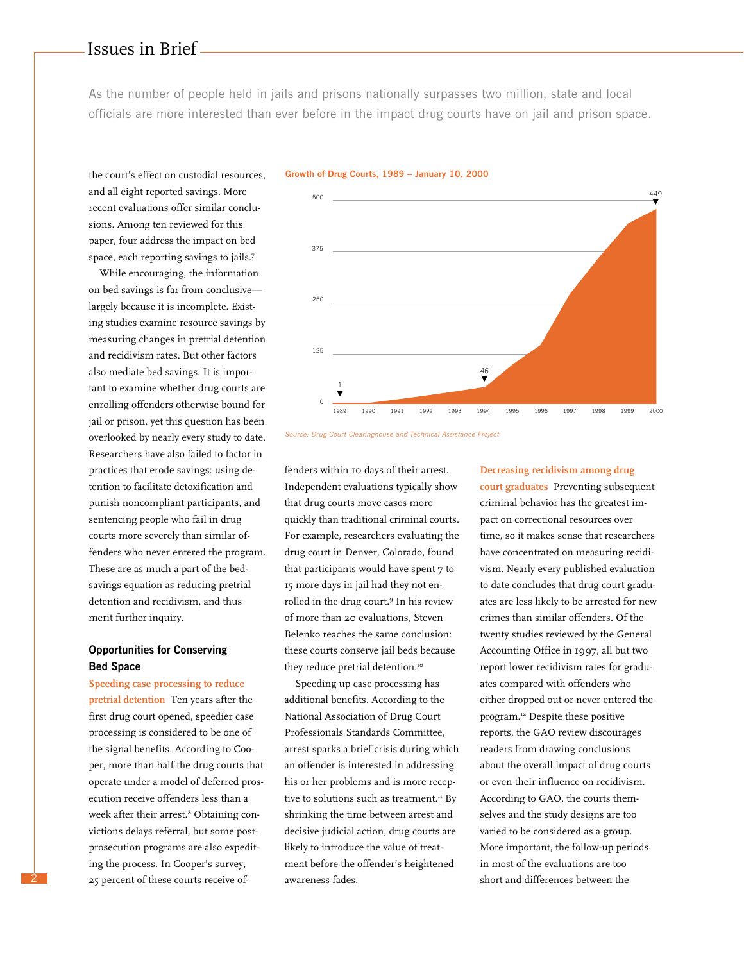As the number of people held in jails and prisons nationally surpasses two million, state and local officials are more interested than ever before in the impact drug courts have on jail and prison space.

the court's effect on custodial resources, and all eight reported savings. More recent evaluations offer similar conclusions. Among ten reviewed for this paper, four address the impact on bed space, each reporting savings to jails.7

While encouraging, the information on bed savings is far from conclusive largely because it is incomplete. Existing studies examine resource savings by measuring changes in pretrial detention and recidivism rates. But other factors also mediate bed savings. It is important to examine whether drug courts are enrolling offenders otherwise bound for jail or prison, yet this question has been overlooked by nearly every study to date. Researchers have also failed to factor in practices that erode savings: using detention to facilitate detoxification and punish noncompliant participants, and sentencing people who fail in drug courts more severely than similar offenders who never entered the program. These are as much a part of the bedsavings equation as reducing pretrial detention and recidivism, and thus merit further inquiry.

## **Opportunities for Conserving Bed Space**

**Speeding case processing to reduce pretrial detention** Ten years after the first drug court opened, speedier case processing is considered to be one of the signal benefits. According to Cooper, more than half the drug courts that operate under a model of deferred prosecution receive offenders less than a week after their arrest.<sup>8</sup> Obtaining convictions delays referral, but some postprosecution programs are also expediting the process. In Cooper's survey, 25 percent of these courts receive of-

2

#### **Growth of Drug Courts, 1989 – January 10, 2000**



*Source: Drug Court Clearinghouse and Technical Assistance Project*

fenders within 10 days of their arrest. Independent evaluations typically show that drug courts move cases more quickly than traditional criminal courts. For example, researchers evaluating the drug court in Denver, Colorado, found that participants would have spent 7 to 15 more days in jail had they not enrolled in the drug court.<sup>9</sup> In his review of more than 20 evaluations, Steven Belenko reaches the same conclusion: these courts conserve jail beds because they reduce pretrial detention.<sup>10</sup>

Speeding up case processing has additional benefits. According to the National Association of Drug Court Professionals Standards Committee, arrest sparks a brief crisis during which an offender is interested in addressing his or her problems and is more receptive to solutions such as treatment.<sup>11</sup> By shrinking the time between arrest and decisive judicial action, drug courts are likely to introduce the value of treatment before the offender's heightened awareness fades.

### **Decreasing recidivism among drug**

**court graduates** Preventing subsequent criminal behavior has the greatest impact on correctional resources over time, so it makes sense that researchers have concentrated on measuring recidivism. Nearly every published evaluation to date concludes that drug court graduates are less likely to be arrested for new crimes than similar offenders. Of the twenty studies reviewed by the General Accounting Office in 1997, all but two report lower recidivism rates for graduates compared with offenders who either dropped out or never entered the program.12 Despite these positive reports, the GAO review discourages readers from drawing conclusions about the overall impact of drug courts or even their influence on recidivism. According to GAO, the courts themselves and the study designs are too varied to be considered as a group. More important, the follow-up periods in most of the evaluations are too short and differences between the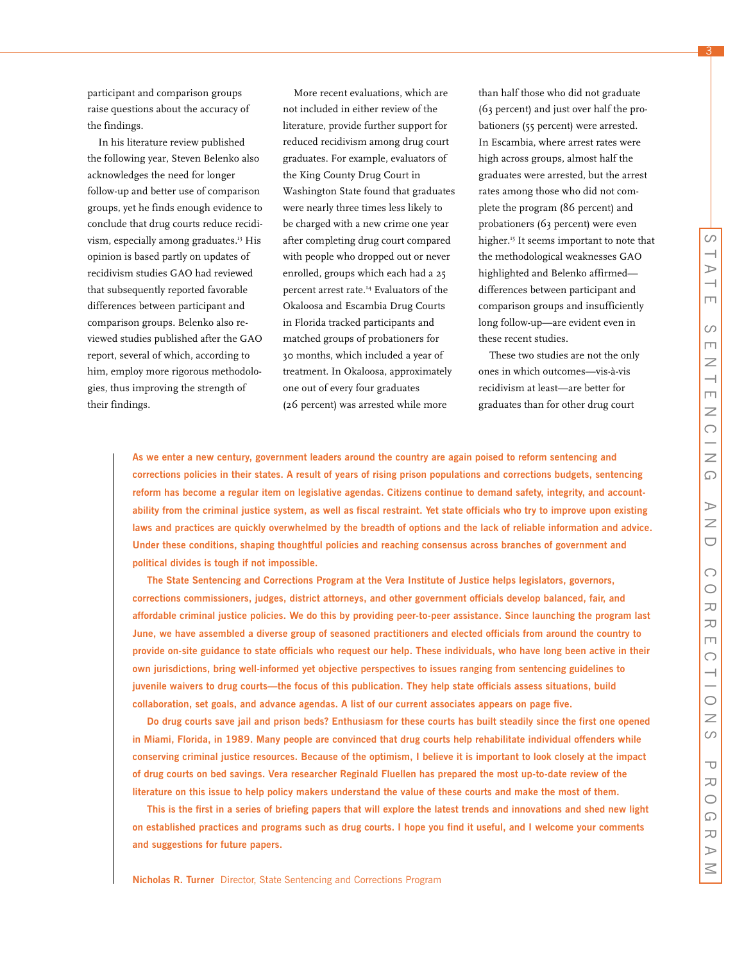3

participant and comparison groups raise questions about the accuracy of the findings.

In his literature review published the following year, Steven Belenko also acknowledges the need for longer follow-up and better use of comparison groups, yet he finds enough evidence to conclude that drug courts reduce recidivism, especially among graduates.<sup>13</sup> His opinion is based partly on updates of recidivism studies GAO had reviewed that subsequently reported favorable differences between participant and comparison groups. Belenko also reviewed studies published after the GAO report, several of which, according to him, employ more rigorous methodologies, thus improving the strength of their findings.

More recent evaluations, which are not included in either review of the literature, provide further support for reduced recidivism among drug court graduates. For example, evaluators of the King County Drug Court in Washington State found that graduates were nearly three times less likely to be charged with a new crime one year after completing drug court compared with people who dropped out or never enrolled, groups which each had a 25 percent arrest rate.14 Evaluators of the Okaloosa and Escambia Drug Courts in Florida tracked participants and matched groups of probationers for 30 months, which included a year of treatment. In Okaloosa, approximately one out of every four graduates (26 percent) was arrested while more

than half those who did not graduate (63 percent) and just over half the probationers (55 percent) were arrested. In Escambia, where arrest rates were high across groups, almost half the graduates were arrested, but the arrest rates among those who did not complete the program (86 percent) and probationers (63 percent) were even higher.<sup>15</sup> It seems important to note that the methodological weaknesses GAO highlighted and Belenko affirmed differences between participant and comparison groups and insufficiently long follow-up—are evident even in these recent studies.

These two studies are not the only ones in which outcomes—vis-à-vis recidivism at least—are better for graduates than for other drug court

**As we enter a new century, government leaders around the country are again poised to reform sentencing and corrections policies in their states. A result of years of rising prison populations and corrections budgets, sentencing reform has become a regular item on legislative agendas. Citizens continue to demand safety, integrity, and accountability from the criminal justice system, as well as fiscal restraint. Yet state officials who try to improve upon existing laws and practices are quickly overwhelmed by the breadth of options and the lack of reliable information and advice. Under these conditions, shaping thoughtful policies and reaching consensus across branches of government and political divides is tough if not impossible.**

**The State Sentencing and Corrections Program at the Vera Institute of Justice helps legislators, governors, corrections commissioners, judges, district attorneys, and other government officials develop balanced, fair, and affordable criminal justice policies. We do this by providing peer-to-peer assistance. Since launching the program last June, we have assembled a diverse group of seasoned practitioners and elected officials from around the country to provide on-site guidance to state officials who request our help. These individuals, who have long been active in their own jurisdictions, bring well-informed yet objective perspectives to issues ranging from sentencing guidelines to juvenile waivers to drug courts—the focus of this publication. They help state officials assess situations, build collaboration, set goals, and advance agendas. A list of our current associates appears on page five.**

**Do drug courts save jail and prison beds? Enthusiasm for these courts has built steadily since the first one opened in Miami, Florida, in 1989. Many people are convinced that drug courts help rehabilitate individual offenders while conserving criminal justice resources. Because of the optimism, I believe it is important to look closely at the impact of drug courts on bed savings. Vera researcher Reginald Fluellen has prepared the most up-to-date review of the literature on this issue to help policy makers understand the value of these courts and make the most of them.**

**This is the first in a series of briefing papers that will explore the latest trends and innovations and shed new light on established practices and programs such as drug courts. I hope you find it useful, and I welcome your comments and suggestions for future papers.**

**Nicholas R. Turner** Director, State Sentencing and Corrections Program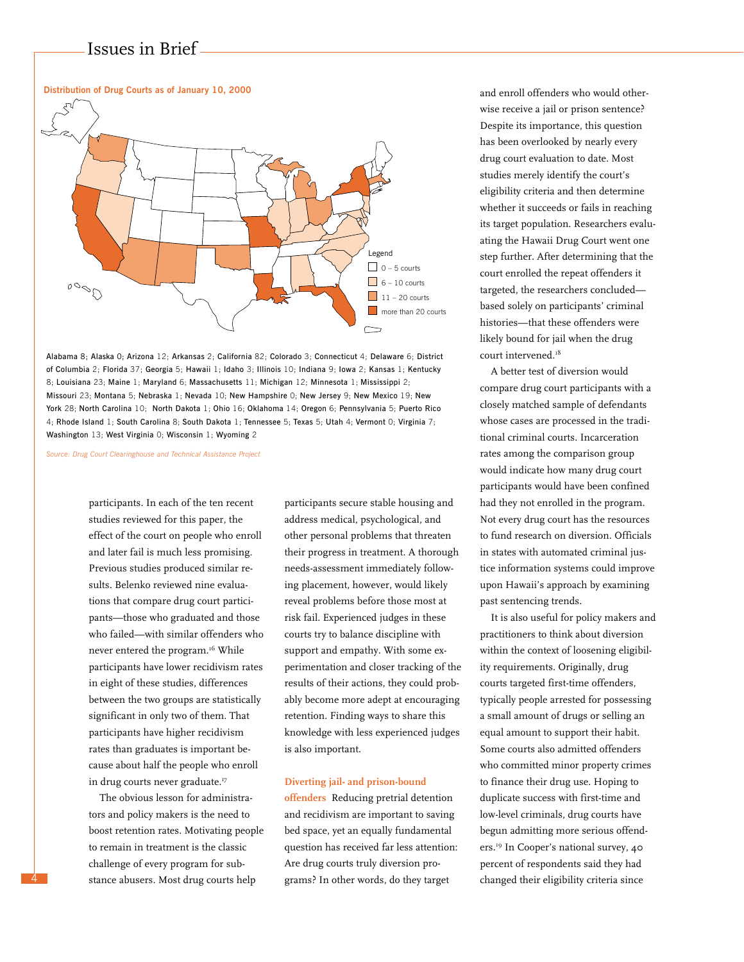



*Source: Drug Court Clearinghouse and Technical Assistance Project*

participants. In each of the ten recent studies reviewed for this paper, the effect of the court on people who enroll and later fail is much less promising. Previous studies produced similar results. Belenko reviewed nine evaluations that compare drug court participants—those who graduated and those who failed—with similar offenders who never entered the program.<sup>16</sup> While participants have lower recidivism rates in eight of these studies, differences between the two groups are statistically significant in only two of them. That participants have higher recidivism rates than graduates is important because about half the people who enroll in drug courts never graduate.<sup>17</sup>

The obvious lesson for administrators and policy makers is the need to boost retention rates. Motivating people to remain in treatment is the classic challenge of every program for substance abusers. Most drug courts help

4

participants secure stable housing and address medical, psychological, and other personal problems that threaten their progress in treatment. A thorough needs-assessment immediately following placement, however, would likely reveal problems before those most at risk fail. Experienced judges in these courts try to balance discipline with support and empathy. With some experimentation and closer tracking of the results of their actions, they could probably become more adept at encouraging retention. Finding ways to share this knowledge with less experienced judges is also important.

### **Diverting jail- and prison-bound**

**offenders** Reducing pretrial detention and recidivism are important to saving bed space, yet an equally fundamental question has received far less attention: Are drug courts truly diversion programs? In other words, do they target

and enroll offenders who would otherwise receive a jail or prison sentence? Despite its importance, this question has been overlooked by nearly every drug court evaluation to date. Most studies merely identify the court's eligibility criteria and then determine whether it succeeds or fails in reaching its target population. Researchers evaluating the Hawaii Drug Court went one step further. After determining that the court enrolled the repeat offenders it targeted, the researchers concluded based solely on participants' criminal histories—that these offenders were likely bound for jail when the drug court intervened.<sup>18</sup>

A better test of diversion would compare drug court participants with a closely matched sample of defendants whose cases are processed in the traditional criminal courts. Incarceration rates among the comparison group would indicate how many drug court participants would have been confined had they not enrolled in the program. Not every drug court has the resources to fund research on diversion. Officials in states with automated criminal justice information systems could improve upon Hawaii's approach by examining past sentencing trends.

It is also useful for policy makers and practitioners to think about diversion within the context of loosening eligibility requirements. Originally, drug courts targeted first-time offenders, typically people arrested for possessing a small amount of drugs or selling an equal amount to support their habit. Some courts also admitted offenders who committed minor property crimes to finance their drug use. Hoping to duplicate success with first-time and low-level criminals, drug courts have begun admitting more serious offenders.19 In Cooper's national survey, 40 percent of respondents said they had changed their eligibility criteria since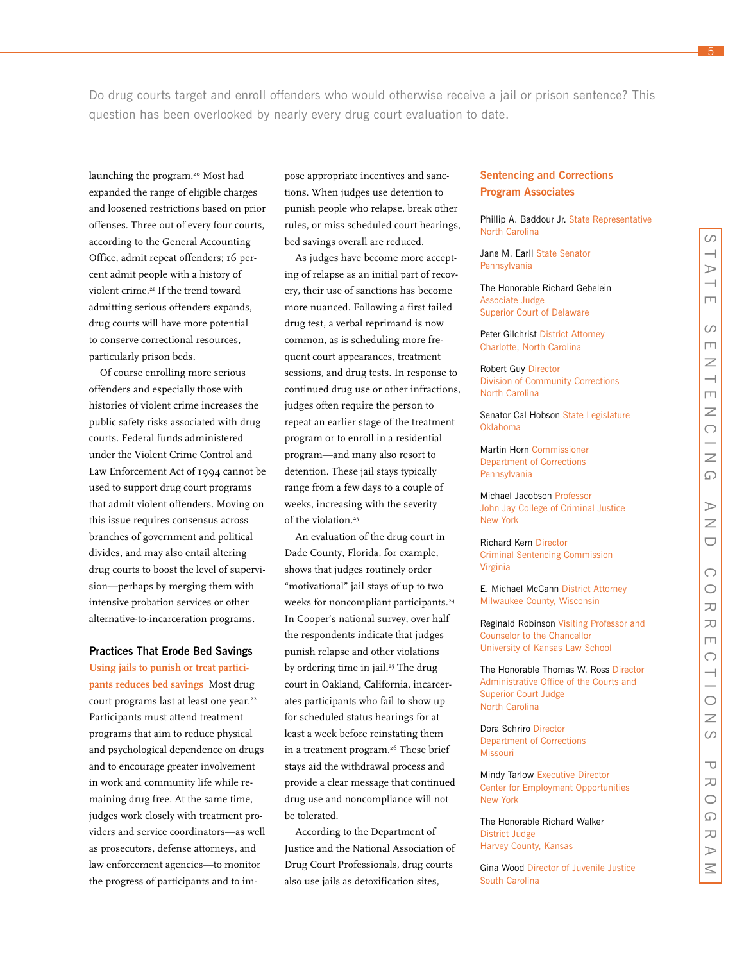5

 $\circ$  $\rightarrow$ 

launching the program.20 Most had expanded the range of eligible charges and loosened restrictions based on prior offenses. Three out of every four courts, according to the General Accounting Office, admit repeat offenders; 16 percent admit people with a history of violent crime.<sup>21</sup> If the trend toward admitting serious offenders expands, drug courts will have more potential to conserve correctional resources, particularly prison beds.

Of course enrolling more serious offenders and especially those with histories of violent crime increases the public safety risks associated with drug courts. Federal funds administered under the Violent Crime Control and Law Enforcement Act of 1994 cannot be used to support drug court programs that admit violent offenders. Moving on this issue requires consensus across branches of government and political divides, and may also entail altering drug courts to boost the level of supervision—perhaps by merging them with intensive probation services or other alternative-to-incarceration programs.

### **Practices That Erode Bed Savings**

**Using jails to punish or treat participants reduces bed savings** Most drug court programs last at least one year.<sup>22</sup> Participants must attend treatment programs that aim to reduce physical and psychological dependence on drugs and to encourage greater involvement in work and community life while remaining drug free. At the same time, judges work closely with treatment providers and service coordinators—as well as prosecutors, defense attorneys, and law enforcement agencies—to monitor the progress of participants and to im-

pose appropriate incentives and sanctions. When judges use detention to punish people who relapse, break other rules, or miss scheduled court hearings, bed savings overall are reduced.

As judges have become more accepting of relapse as an initial part of recovery, their use of sanctions has become more nuanced. Following a first failed drug test, a verbal reprimand is now common, as is scheduling more frequent court appearances, treatment sessions, and drug tests. In response to continued drug use or other infractions, judges often require the person to repeat an earlier stage of the treatment program or to enroll in a residential program—and many also resort to detention. These jail stays typically range from a few days to a couple of weeks, increasing with the severity of the violation.<sup>23</sup>

An evaluation of the drug court in Dade County, Florida, for example, shows that judges routinely order "motivational" jail stays of up to two weeks for noncompliant participants.<sup>24</sup> In Cooper's national survey, over half the respondents indicate that judges punish relapse and other violations by ordering time in jail.<sup>25</sup> The drug court in Oakland, California, incarcerates participants who fail to show up for scheduled status hearings for at least a week before reinstating them in a treatment program.<sup>26</sup> These brief stays aid the withdrawal process and provide a clear message that continued drug use and noncompliance will not be tolerated.

According to the Department of Justice and the National Association of Drug Court Professionals, drug courts also use jails as detoxification sites,

## **Sentencing and Corrections Program Associates**

Phillip A. Baddour Jr. State Representative North Carolina

Jane M. Earll State Senator Pennsylvania

The Honorable Richard Gebelein Associate Judge Superior Court of Delaware

Peter Gilchrist District Attorney Charlotte, North Carolina

Robert Guy Director Division of Community Corrections North Carolina

Senator Cal Hobson State Legislature Oklahoma

Martin Horn Commissioner Department of Corrections **Pennsylvania** 

Michael Jacobson Professor John Jay College of Criminal Justice New York

Richard Kern Director Criminal Sentencing Commission Virginia

E. Michael McCann District Attorney Milwaukee County, Wisconsin

Reginald Robinson Visiting Professor and Counselor to the Chancellor University of Kansas Law School

The Honorable Thomas W. Ross Director Administrative Office of the Courts and Superior Court Judge North Carolina

Dora Schriro Director Department of Corrections Missouri

Mindy Tarlow Executive Director Center for Employment Opportunities New York

The Honorable Richard Walker District Judge Harvey County, Kansas

Gina Wood Director of Juvenile Justice South Carolina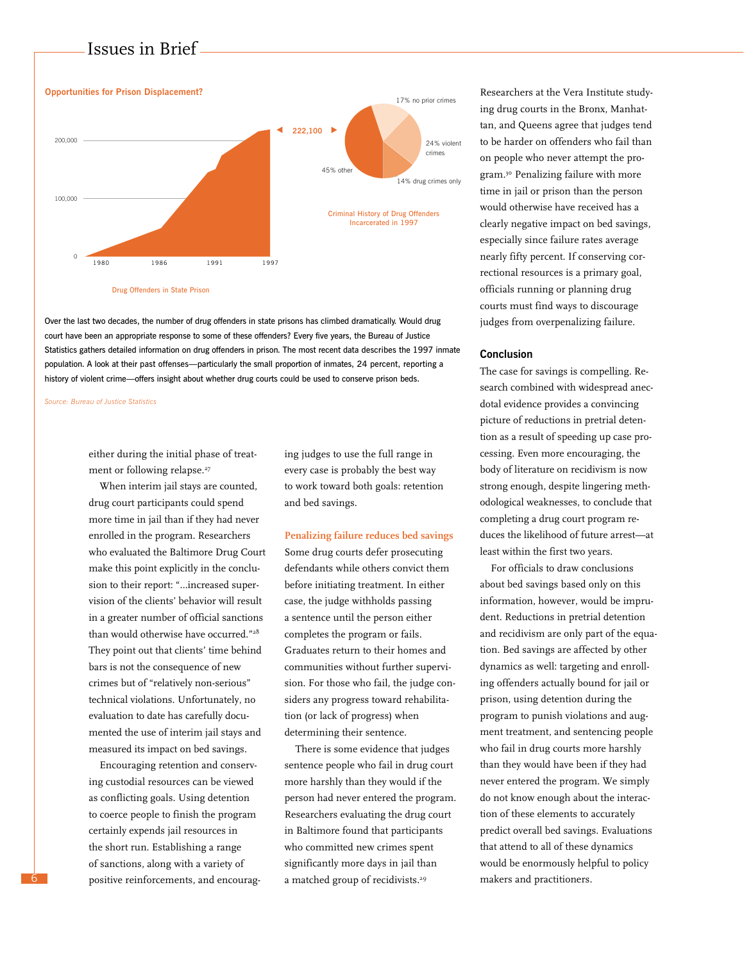

Over the last two decades, the number of drug offenders in state prisons has climbed dramatically. Would drug court have been an appropriate response to some of these offenders? Every five years, the Bureau of Justice Statistics gathers detailed information on drug offenders in prison. The most recent data describes the 1997 inmate population. A look at their past offenses—particularly the small proportion of inmates, 24 percent, reporting a history of violent crime—offers insight about whether drug courts could be used to conserve prison beds.

*Source: Bureau of Justice Statistics*

either during the initial phase of treatment or following relapse.<sup>27</sup>

When interim jail stays are counted, drug court participants could spend more time in jail than if they had never enrolled in the program. Researchers who evaluated the Baltimore Drug Court make this point explicitly in the conclusion to their report: "…increased supervision of the clients' behavior will result in a greater number of official sanctions than would otherwise have occurred."<sup>28</sup> They point out that clients' time behind bars is not the consequence of new crimes but of "relatively non-serious" technical violations. Unfortunately, no evaluation to date has carefully documented the use of interim jail stays and measured its impact on bed savings.

Encouraging retention and conserving custodial resources can be viewed as conflicting goals. Using detention to coerce people to finish the program certainly expends jail resources in the short run. Establishing a range of sanctions, along with a variety of positive reinforcements, and encouraging judges to use the full range in every case is probably the best way to work toward both goals: retention and bed savings.

### **Penalizing failure reduces bed savings**

Some drug courts defer prosecuting defendants while others convict them before initiating treatment. In either case, the judge withholds passing a sentence until the person either completes the program or fails. Graduates return to their homes and communities without further supervision. For those who fail, the judge considers any progress toward rehabilitation (or lack of progress) when determining their sentence.

There is some evidence that judges sentence people who fail in drug court more harshly than they would if the person had never entered the program. Researchers evaluating the drug court in Baltimore found that participants who committed new crimes spent significantly more days in jail than a matched group of recidivists.<sup>29</sup>

Researchers at the Vera Institute studying drug courts in the Bronx, Manhattan, and Queens agree that judges tend to be harder on offenders who fail than on people who never attempt the program.30 Penalizing failure with more time in jail or prison than the person would otherwise have received has a clearly negative impact on bed savings, especially since failure rates average nearly fifty percent. If conserving correctional resources is a primary goal, officials running or planning drug courts must find ways to discourage judges from overpenalizing failure.

### **Conclusion**

The case for savings is compelling. Research combined with widespread anecdotal evidence provides a convincing picture of reductions in pretrial detention as a result of speeding up case processing. Even more encouraging, the body of literature on recidivism is now strong enough, despite lingering methodological weaknesses, to conclude that completing a drug court program reduces the likelihood of future arrest—at least within the first two years.

For officials to draw conclusions about bed savings based only on this information, however, would be imprudent. Reductions in pretrial detention and recidivism are only part of the equation. Bed savings are affected by other dynamics as well: targeting and enrolling offenders actually bound for jail or prison, using detention during the program to punish violations and augment treatment, and sentencing people who fail in drug courts more harshly than they would have been if they had never entered the program. We simply do not know enough about the interaction of these elements to accurately predict overall bed savings. Evaluations that attend to all of these dynamics would be enormously helpful to policy makers and practitioners.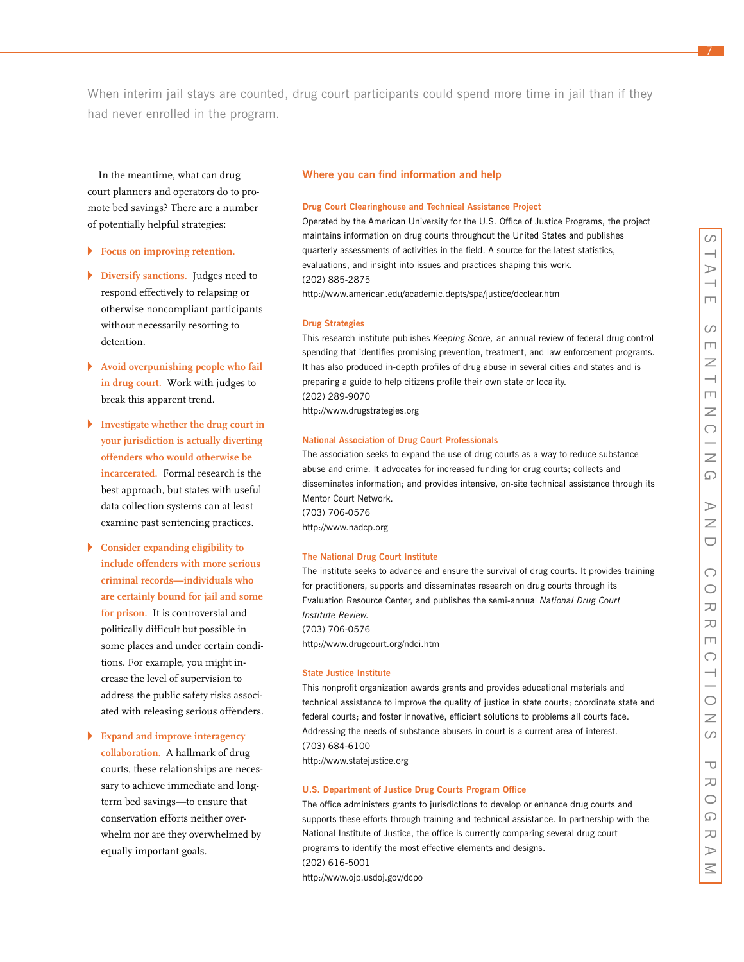7

When interim jail stays are counted, drug court participants could spend more time in jail than if they had never enrolled in the program.

In the meantime, what can drug court planners and operators do to promote bed savings? There are a number of potentially helpful strategies:

- **Focus on improving retention.**
- **Diversify sanctions.** Judges need to respond effectively to relapsing or otherwise noncompliant participants without necessarily resorting to detention.
- $\blacktriangleright$  Avoid overpunishing people who fail **in drug court.** Work with judges to break this apparent trend.
- **Investigate whether the drug court in your jurisdiction is actually diverting offenders who would otherwise be incarcerated.** Formal research is the best approach, but states with useful data collection systems can at least examine past sentencing practices.
- " **Consider expanding eligibility to include offenders with more serious criminal records—individuals who are certainly bound for jail and some for prison.** It is controversial and politically difficult but possible in some places and under certain conditions. For example, you might increase the level of supervision to address the public safety risks associated with releasing serious offenders.
- " **Expand and improve interagency collaboration.** A hallmark of drug courts, these relationships are necessary to achieve immediate and longterm bed savings—to ensure that conservation efforts neither overwhelm nor are they overwhelmed by equally important goals.

## **Where you can find information and help**

### **Drug Court Clearinghouse and Technical Assistance Project**

Operated by the American University for the U.S. Office of Justice Programs, the project maintains information on drug courts throughout the United States and publishes quarterly assessments of activities in the field. A source for the latest statistics, evaluations, and insight into issues and practices shaping this work. (202) 885-2875

http://www.american.edu/academic.depts/spa/justice/dcclear.htm

#### **Drug Strategies**

This research institute publishes *Keeping Score,* an annual review of federal drug control spending that identifies promising prevention, treatment, and law enforcement programs. It has also produced in-depth profiles of drug abuse in several cities and states and is preparing a guide to help citizens profile their own state or locality. (202) 289-9070 http://www.drugstrategies.org

#### **National Association of Drug Court Professionals**

The association seeks to expand the use of drug courts as a way to reduce substance abuse and crime. It advocates for increased funding for drug courts; collects and disseminates information; and provides intensive, on-site technical assistance through its Mentor Court Network. (703) 706-0576 http://www.nadcp.org

#### **The National Drug Court Institute**

The institute seeks to advance and ensure the survival of drug courts. It provides training for practitioners, supports and disseminates research on drug courts through its Evaluation Resource Center, and publishes the semi-annual *National Drug Court Institute Review.* (703) 706-0576 http://www.drugcourt.org/ndci.htm

### **State Justice Institute**

This nonprofit organization awards grants and provides educational materials and technical assistance to improve the quality of justice in state courts; coordinate state and federal courts; and foster innovative, efficient solutions to problems all courts face. Addressing the needs of substance abusers in court is a current area of interest. (703) 684-6100 http://www.statejustice.org

#### **U.S. Department of Justice Drug Courts Program Office**

The office administers grants to jurisdictions to develop or enhance drug courts and supports these efforts through training and technical assistance. In partnership with the National Institute of Justice, the office is currently comparing several drug court programs to identify the most effective elements and designs. (202) 616-5001 http://www.ojp.usdoj.gov/dcpo